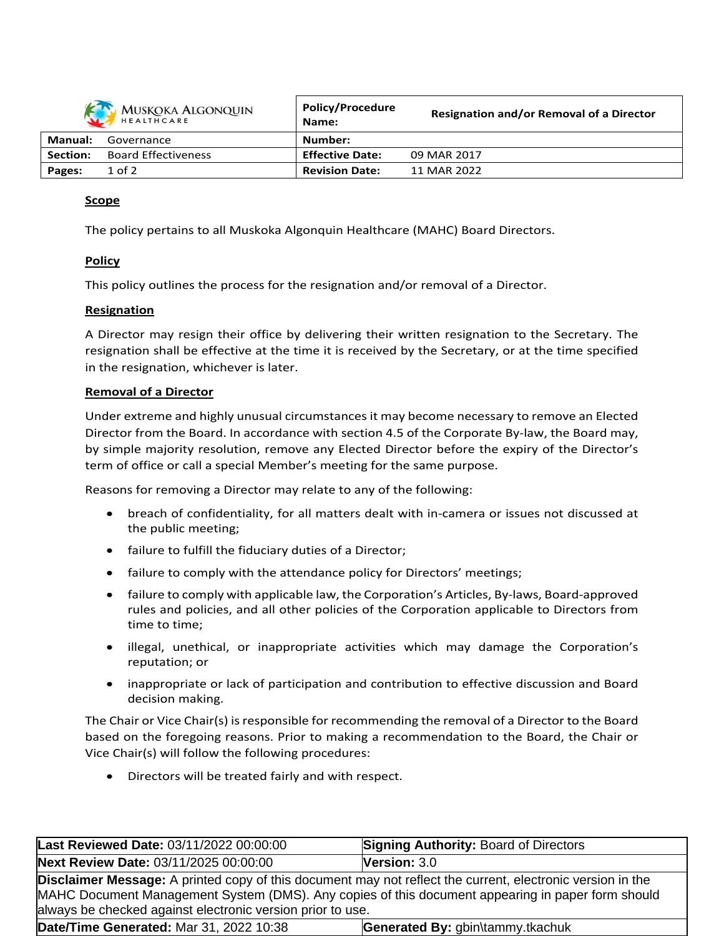| MUSKOKA ALGONQUIN |                            | <b>Policy/Procedure</b><br>Name: | <b>Resignation and/or Removal of a Director</b> |
|-------------------|----------------------------|----------------------------------|-------------------------------------------------|
| Manual:           | Governance                 | Number:                          |                                                 |
| Section:          | <b>Board Effectiveness</b> | <b>Effective Date:</b>           | 09 MAR 2017                                     |
| Pages:            | $1$ of $2$                 | <b>Revision Date:</b>            | 11 MAR 2022                                     |

### **Scope**

The policy pertains to all Muskoka Algonquin Healthcare (MAHC) Board Directors.

### **Policy**

This policy outlines the process for the resignation and/or removal of a Director.

#### **Resignation**

A Director may resign their office by delivering their written resignation to the Secretary. The resignation shall be effective at the time it is received by the Secretary, or at the time specified in the resignation, whichever is later.

#### **Removal of a Director**

Under extreme and highly unusual circumstances it may become necessary to remove an Elected Director from the Board. In accordance with section 4.5 of the Corporate By-law, the Board may, by simple majority resolution, remove any Elected Director before the expiry of the Director's term of office or call a special Member's meeting for the same purpose.

Reasons for removing a Director may relate to any of the following:

- breach of confidentiality, for all matters dealt with in-camera or issues not discussed at the public meeting;
- failure to fulfill the fiduciary duties of a Director;
- failure to comply with the attendance policy for Directors' meetings;
- failure to comply with applicable law, the Corporation's Articles, By-laws, Board-approved rules and policies, and all other policies of the Corporation applicable to Directors from time to time;
- illegal, unethical, or inappropriate activities which may damage the Corporation's reputation; or
- inappropriate or lack of participation and contribution to effective discussion and Board decision making.

The Chair or Vice Chair(s) isresponsible for recommending the removal of a Director to the Board based on the foregoing reasons. Prior to making a recommendation to the Board, the Chair or Vice Chair(s) will follow the following procedures:

Directors will be treated fairly and with respect.

| Last Reviewed Date: 03/11/2022 00:00:00                                                                                                                                                                                                                                              | <b>Signing Authority: Board of Directors</b> |  |  |  |  |
|--------------------------------------------------------------------------------------------------------------------------------------------------------------------------------------------------------------------------------------------------------------------------------------|----------------------------------------------|--|--|--|--|
| Next Review Date: 03/11/2025 00:00:00                                                                                                                                                                                                                                                | Version: $3.0$                               |  |  |  |  |
| <b>Disclaimer Message:</b> A printed copy of this document may not reflect the current, electronic version in the<br>MAHC Document Management System (DMS). Any copies of this document appearing in paper form should<br>always be checked against electronic version prior to use. |                                              |  |  |  |  |
| Date/Time Generated: Mar 31, 2022 10:38                                                                                                                                                                                                                                              | Generated By: gbin\tammy.tkachuk             |  |  |  |  |